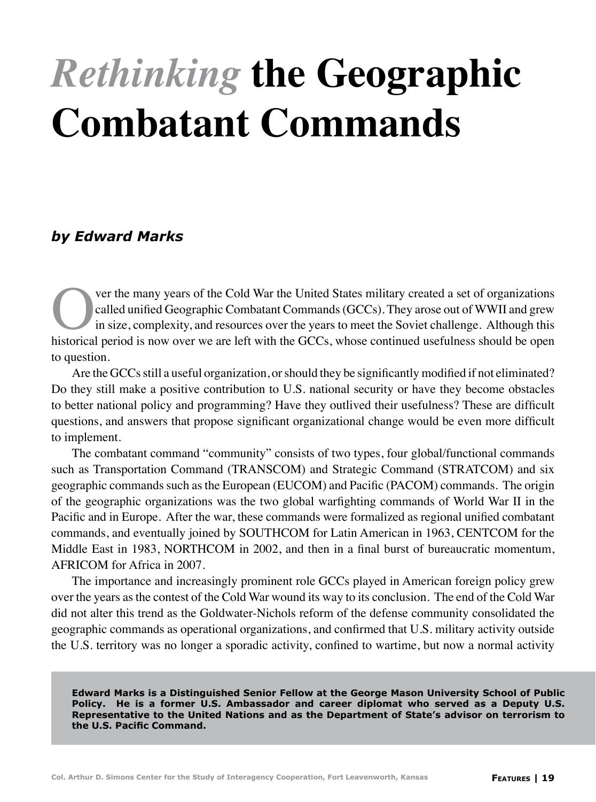## *Rethinking* **the Geographic Combatant Commands**

## *by Edward Marks*

Ver the many years of the Cold War the United States military created a set of organizations<br>called unified Geographic Combatant Commands (GCCs). They arose out of WWII and grew<br>in size, complexity, and resources over the called unified Geographic Combatant Commands (GCCs). They arose out of WWII and grew in size, complexity, and resources over the years to meet the Soviet challenge. Although this historical period is now over we are left with the GCCs, whose continued usefulness should be open to question.

Are the GCCs still a useful organization, or should they be significantly modified if not eliminated? Do they still make a positive contribution to U.S. national security or have they become obstacles to better national policy and programming? Have they outlived their usefulness? These are difficult questions, and answers that propose significant organizational change would be even more difficult to implement.

The combatant command "community" consists of two types, four global/functional commands such as Transportation Command (TRANSCOM) and Strategic Command (STRATCOM) and six geographic commands such as the European (EUCOM) and Pacific (PACOM) commands. The origin of the geographic organizations was the two global warfighting commands of World War II in the Pacific and in Europe. After the war, these commands were formalized as regional unified combatant commands, and eventually joined by SOUTHCOM for Latin American in 1963, CENTCOM for the Middle East in 1983, NORTHCOM in 2002, and then in a final burst of bureaucratic momentum, AFRICOM for Africa in 2007.

The importance and increasingly prominent role GCCs played in American foreign policy grew over the years as the contest of the Cold War wound its way to its conclusion. The end of the Cold War did not alter this trend as the Goldwater-Nichols reform of the defense community consolidated the geographic commands as operational organizations, and confirmed that U.S. military activity outside the U.S. territory was no longer a sporadic activity, confined to wartime, but now a normal activity

**Edward Marks is a Distinguished Senior Fellow at the George Mason University School of Public Policy. He is a former U.S. Ambassador and career diplomat who served as a Deputy U.S. Representative to the United Nations and as the Department of State's advisor on terrorism to the U.S. Pacific Command.**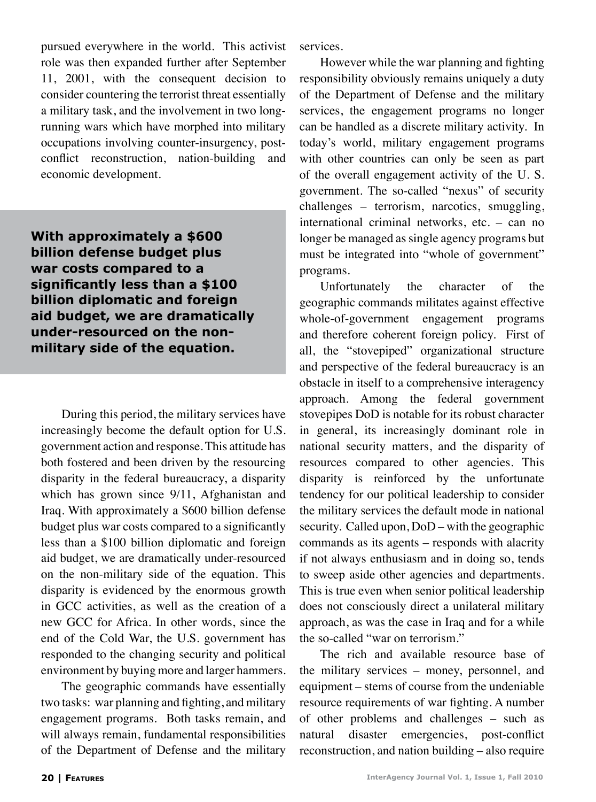pursued everywhere in the world. This activist role was then expanded further after September 11, 2001, with the consequent decision to consider countering the terrorist threat essentially a military task, and the involvement in two longrunning wars which have morphed into military occupations involving counter-insurgency, postconflict reconstruction, nation-building and economic development.

**With approximately a \$600 billion defense budget plus war costs compared to a significantly less than a \$100 billion diplomatic and foreign aid budget, we are dramatically under-resourced on the nonmilitary side of the equation.**

During this period, the military services have increasingly become the default option for U.S. government action and response. This attitude has both fostered and been driven by the resourcing disparity in the federal bureaucracy, a disparity which has grown since 9/11, Afghanistan and Iraq. With approximately a \$600 billion defense budget plus war costs compared to a significantly less than a \$100 billion diplomatic and foreign aid budget, we are dramatically under-resourced on the non-military side of the equation. This disparity is evidenced by the enormous growth in GCC activities, as well as the creation of a new GCC for Africa. In other words, since the end of the Cold War, the U.S. government has responded to the changing security and political environment by buying more and larger hammers.

The geographic commands have essentially two tasks: war planning and fighting, and military engagement programs. Both tasks remain, and will always remain, fundamental responsibilities of the Department of Defense and the military

services.

However while the war planning and fighting responsibility obviously remains uniquely a duty of the Department of Defense and the military services, the engagement programs no longer can be handled as a discrete military activity. In today's world, military engagement programs with other countries can only be seen as part of the overall engagement activity of the U. S. government. The so-called "nexus" of security challenges – terrorism, narcotics, smuggling, international criminal networks, etc. – can no longer be managed as single agency programs but must be integrated into "whole of government" programs.

Unfortunately the character of the geographic commands militates against effective whole-of-government engagement programs and therefore coherent foreign policy. First of all, the "stovepiped" organizational structure and perspective of the federal bureaucracy is an obstacle in itself to a comprehensive interagency approach. Among the federal government stovepipes DoD is notable for its robust character in general, its increasingly dominant role in national security matters, and the disparity of resources compared to other agencies. This disparity is reinforced by the unfortunate tendency for our political leadership to consider the military services the default mode in national security. Called upon, DoD – with the geographic commands as its agents – responds with alacrity if not always enthusiasm and in doing so, tends to sweep aside other agencies and departments. This is true even when senior political leadership does not consciously direct a unilateral military approach, as was the case in Iraq and for a while the so-called "war on terrorism."

The rich and available resource base of the military services – money, personnel, and equipment – stems of course from the undeniable resource requirements of war fighting. A number of other problems and challenges – such as natural disaster emergencies, post-conflict reconstruction, and nation building – also require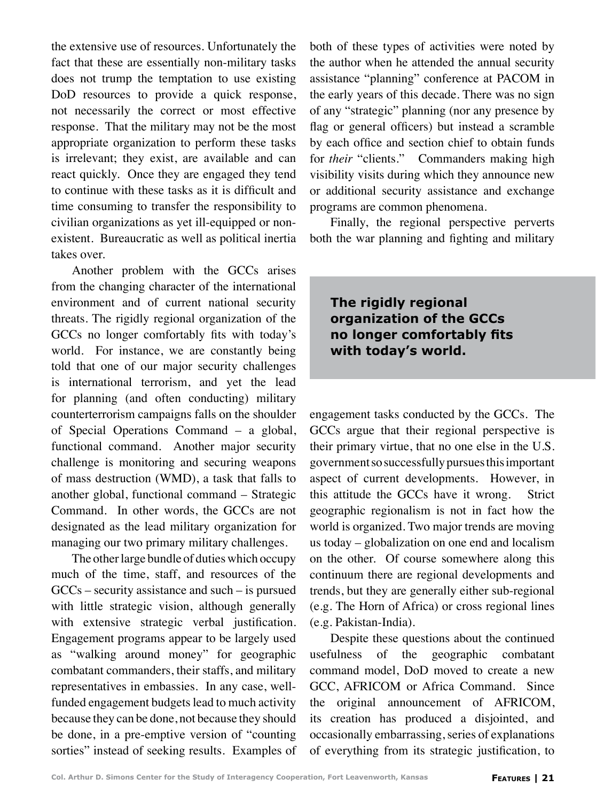the extensive use of resources. Unfortunately the fact that these are essentially non-military tasks does not trump the temptation to use existing DoD resources to provide a quick response, not necessarily the correct or most effective response. That the military may not be the most appropriate organization to perform these tasks is irrelevant; they exist, are available and can react quickly. Once they are engaged they tend to continue with these tasks as it is difficult and time consuming to transfer the responsibility to civilian organizations as yet ill-equipped or nonexistent. Bureaucratic as well as political inertia takes over.

Another problem with the GCCs arises from the changing character of the international environment and of current national security threats. The rigidly regional organization of the GCCs no longer comfortably fits with today's world. For instance, we are constantly being told that one of our major security challenges is international terrorism, and yet the lead for planning (and often conducting) military counterterrorism campaigns falls on the shoulder of Special Operations Command – a global, functional command. Another major security challenge is monitoring and securing weapons of mass destruction (WMD), a task that falls to another global, functional command – Strategic Command. In other words, the GCCs are not designated as the lead military organization for managing our two primary military challenges.

The other large bundle of duties which occupy much of the time, staff, and resources of the GCCs – security assistance and such – is pursued with little strategic vision, although generally with extensive strategic verbal justification. Engagement programs appear to be largely used as "walking around money" for geographic combatant commanders, their staffs, and military representatives in embassies. In any case, wellfunded engagement budgets lead to much activity because they can be done, not because they should be done, in a pre-emptive version of "counting sorties" instead of seeking results. Examples of both of these types of activities were noted by the author when he attended the annual security assistance "planning" conference at PACOM in the early years of this decade. There was no sign of any "strategic" planning (nor any presence by flag or general officers) but instead a scramble by each office and section chief to obtain funds for *their* "clients." Commanders making high visibility visits during which they announce new or additional security assistance and exchange programs are common phenomena.

Finally, the regional perspective perverts both the war planning and fighting and military

**The rigidly regional organization of the GCCs no longer comfortably fits with today's world.**

engagement tasks conducted by the GCCs. The GCCs argue that their regional perspective is their primary virtue, that no one else in the U.S. government so successfully pursues this important aspect of current developments. However, in this attitude the GCCs have it wrong. Strict geographic regionalism is not in fact how the world is organized. Two major trends are moving us today – globalization on one end and localism on the other. Of course somewhere along this continuum there are regional developments and trends, but they are generally either sub-regional (e.g. The Horn of Africa) or cross regional lines (e.g. Pakistan-India).

Despite these questions about the continued usefulness of the geographic combatant command model, DoD moved to create a new GCC, AFRICOM or Africa Command. Since the original announcement of AFRICOM, its creation has produced a disjointed, and occasionally embarrassing, series of explanations of everything from its strategic justification, to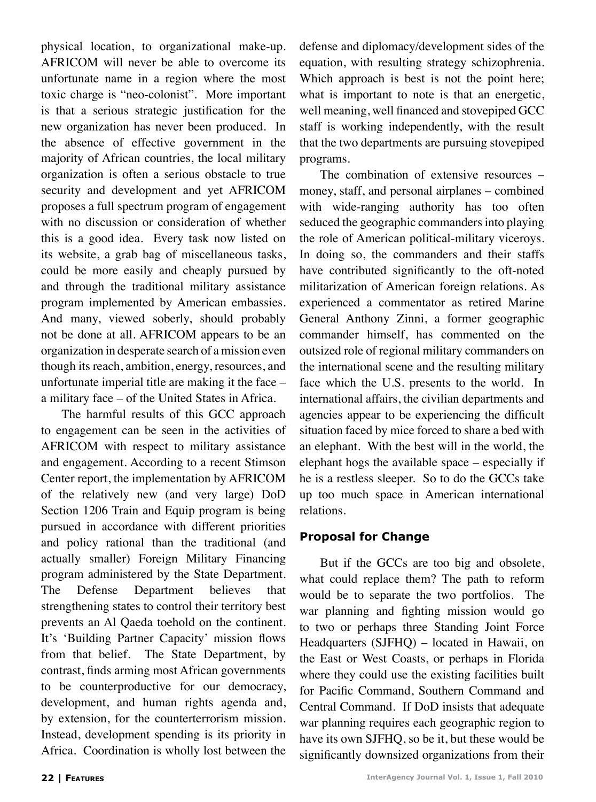physical location, to organizational make-up. AFRICOM will never be able to overcome its unfortunate name in a region where the most toxic charge is "neo-colonist". More important is that a serious strategic justification for the new organization has never been produced. In the absence of effective government in the majority of African countries, the local military organization is often a serious obstacle to true security and development and yet AFRICOM proposes a full spectrum program of engagement with no discussion or consideration of whether this is a good idea. Every task now listed on its website, a grab bag of miscellaneous tasks, could be more easily and cheaply pursued by and through the traditional military assistance program implemented by American embassies. And many, viewed soberly, should probably not be done at all. AFRICOM appears to be an organization in desperate search of a mission even though its reach, ambition, energy, resources, and unfortunate imperial title are making it the face – a military face – of the United States in Africa.

The harmful results of this GCC approach to engagement can be seen in the activities of AFRICOM with respect to military assistance and engagement. According to a recent Stimson Center report, the implementation by AFRICOM of the relatively new (and very large) DoD Section 1206 Train and Equip program is being pursued in accordance with different priorities and policy rational than the traditional (and actually smaller) Foreign Military Financing program administered by the State Department. The Defense Department believes that strengthening states to control their territory best prevents an Al Qaeda toehold on the continent. It's 'Building Partner Capacity' mission flows from that belief. The State Department, by contrast, finds arming most African governments to be counterproductive for our democracy, development, and human rights agenda and, by extension, for the counterterrorism mission. Instead, development spending is its priority in Africa. Coordination is wholly lost between the

defense and diplomacy/development sides of the equation, with resulting strategy schizophrenia. Which approach is best is not the point here; what is important to note is that an energetic, well meaning, well financed and stovepiped GCC staff is working independently, with the result that the two departments are pursuing stovepiped programs.

The combination of extensive resources – money, staff, and personal airplanes – combined with wide-ranging authority has too often seduced the geographic commanders into playing the role of American political-military viceroys. In doing so, the commanders and their staffs have contributed significantly to the oft-noted militarization of American foreign relations. As experienced a commentator as retired Marine General Anthony Zinni, a former geographic commander himself, has commented on the outsized role of regional military commanders on the international scene and the resulting military face which the U.S. presents to the world. In international affairs, the civilian departments and agencies appear to be experiencing the difficult situation faced by mice forced to share a bed with an elephant. With the best will in the world, the elephant hogs the available space – especially if he is a restless sleeper. So to do the GCCs take up too much space in American international relations.

## **Proposal for Change**

But if the GCCs are too big and obsolete, what could replace them? The path to reform would be to separate the two portfolios. The war planning and fighting mission would go to two or perhaps three Standing Joint Force Headquarters (SJFHQ) – located in Hawaii, on the East or West Coasts, or perhaps in Florida where they could use the existing facilities built for Pacific Command, Southern Command and Central Command. If DoD insists that adequate war planning requires each geographic region to have its own SJFHQ, so be it, but these would be significantly downsized organizations from their